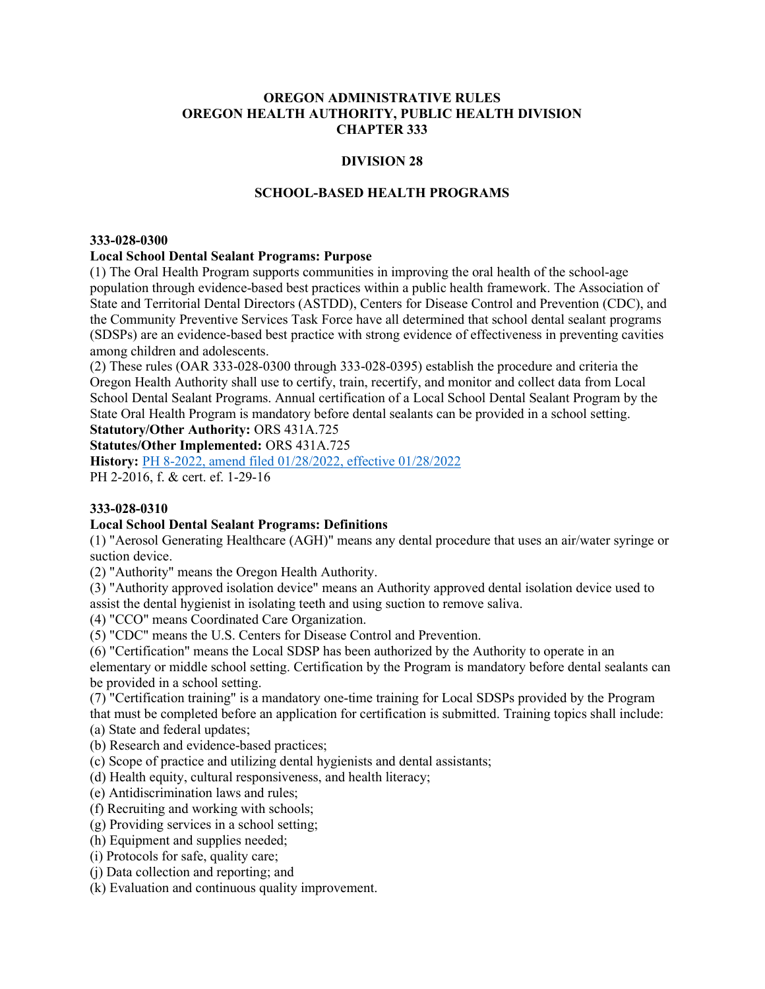#### OREGON ADMINISTRATIVE RULES OREGON HEALTH AUTHORITY, PUBLIC HEALTH DIVISION CHAPTER 333

### DIVISION 28

## SCHOOL-BASED HEALTH PROGRAMS

#### 333-028-0300

### Local School Dental Sealant Programs: Purpose

(1) The Oral Health Program supports communities in improving the oral health of the school-age population through evidence-based best practices within a public health framework. The Association of State and Territorial Dental Directors (ASTDD), Centers for Disease Control and Prevention (CDC), and the Community Preventive Services Task Force have all determined that school dental sealant programs (SDSPs) are an evidence-based best practice with strong evidence of effectiveness in preventing cavities among children and adolescents.

(2) These rules (OAR 333-028-0300 through 333-028-0395) establish the procedure and criteria the Oregon Health Authority shall use to certify, train, recertify, and monitor and collect data from Local School Dental Sealant Programs. Annual certification of a Local School Dental Sealant Program by the State Oral Health Program is mandatory before dental sealants can be provided in a school setting.

Statutory/Other Authority: ORS 431A.725

Statutes/Other Implemented: ORS 431A.725

History: PH 8-2022, amend filed 01/28/2022, effective 01/28/2022 PH 2-2016, f. & cert. ef. 1-29-16

### 333-028-0310

### Local School Dental Sealant Programs: Definitions

(1) "Aerosol Generating Healthcare (AGH)" means any dental procedure that uses an air/water syringe or suction device.

(2) "Authority" means the Oregon Health Authority.

(3) "Authority approved isolation device" means an Authority approved dental isolation device used to assist the dental hygienist in isolating teeth and using suction to remove saliva.

(4) "CCO" means Coordinated Care Organization.

(5) "CDC" means the U.S. Centers for Disease Control and Prevention.

(6) "Certification" means the Local SDSP has been authorized by the Authority to operate in an elementary or middle school setting. Certification by the Program is mandatory before dental sealants can be provided in a school setting.

(7) "Certification training" is a mandatory one-time training for Local SDSPs provided by the Program

that must be completed before an application for certification is submitted. Training topics shall include:

(a) State and federal updates;

(b) Research and evidence-based practices;

(c) Scope of practice and utilizing dental hygienists and dental assistants;

(d) Health equity, cultural responsiveness, and health literacy;

(e) Antidiscrimination laws and rules;

(f) Recruiting and working with schools;

(g) Providing services in a school setting;

(h) Equipment and supplies needed;

(i) Protocols for safe, quality care;

(j) Data collection and reporting; and

(k) Evaluation and continuous quality improvement.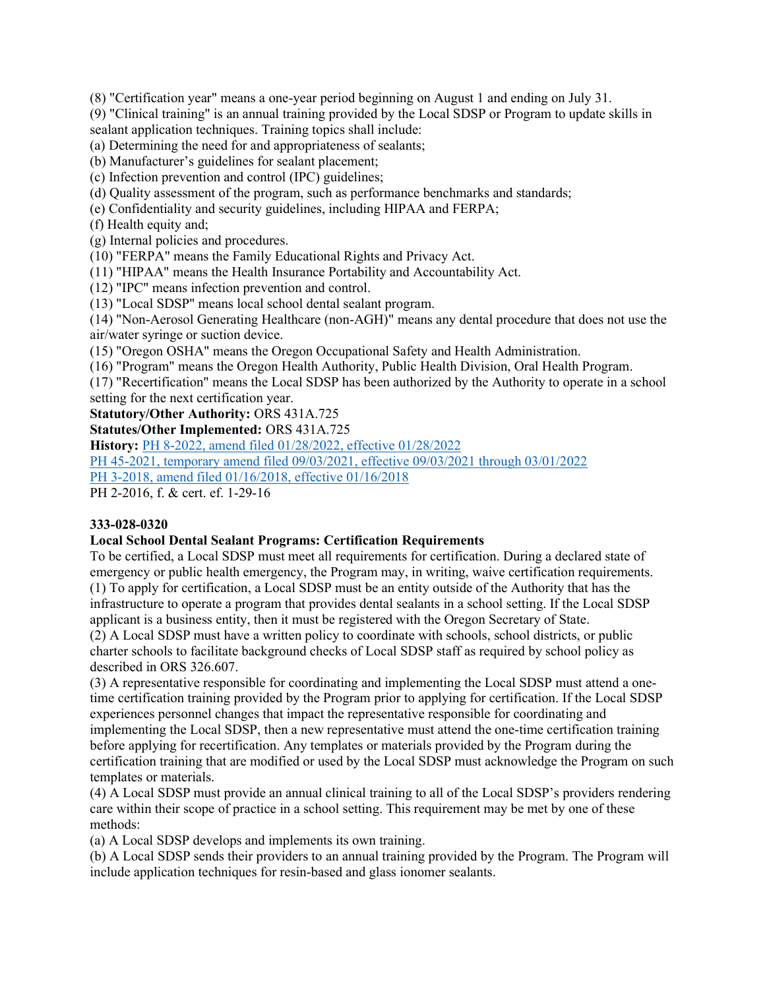(8) "Certification year" means a one-year period beginning on August 1 and ending on July 31.

(9) "Clinical training" is an annual training provided by the Local SDSP or Program to update skills in sealant application techniques. Training topics shall include:

(a) Determining the need for and appropriateness of sealants;

(b) Manufacturer's guidelines for sealant placement;

(c) Infection prevention and control (IPC) guidelines;

(d) Quality assessment of the program, such as performance benchmarks and standards;

(e) Confidentiality and security guidelines, including HIPAA and FERPA;

(f) Health equity and;

(g) Internal policies and procedures.

(10) "FERPA" means the Family Educational Rights and Privacy Act.

(11) "HIPAA" means the Health Insurance Portability and Accountability Act.

(12) "IPC" means infection prevention and control.

(13) "Local SDSP" means local school dental sealant program.

(14) "Non-Aerosol Generating Healthcare (non-AGH)" means any dental procedure that does not use the air/water syringe or suction device.

(15) "Oregon OSHA" means the Oregon Occupational Safety and Health Administration.

(16) "Program" means the Oregon Health Authority, Public Health Division, Oral Health Program.

(17) "Recertification" means the Local SDSP has been authorized by the Authority to operate in a school setting for the next certification year.

Statutory/Other Authority: ORS 431A.725

Statutes/Other Implemented: ORS 431A.725

History: PH 8-2022, amend filed 01/28/2022, effective 01/28/2022

PH 45-2021, temporary amend filed 09/03/2021, effective 09/03/2021 through 03/01/2022

PH 3-2018, amend filed 01/16/2018, effective 01/16/2018

PH 2-2016, f. & cert. ef. 1-29-16

# 333-028-0320

# Local School Dental Sealant Programs: Certification Requirements

To be certified, a Local SDSP must meet all requirements for certification. During a declared state of emergency or public health emergency, the Program may, in writing, waive certification requirements. (1) To apply for certification, a Local SDSP must be an entity outside of the Authority that has the infrastructure to operate a program that provides dental sealants in a school setting. If the Local SDSP applicant is a business entity, then it must be registered with the Oregon Secretary of State.

(2) A Local SDSP must have a written policy to coordinate with schools, school districts, or public charter schools to facilitate background checks of Local SDSP staff as required by school policy as described in ORS 326.607.

(3) A representative responsible for coordinating and implementing the Local SDSP must attend a onetime certification training provided by the Program prior to applying for certification. If the Local SDSP experiences personnel changes that impact the representative responsible for coordinating and implementing the Local SDSP, then a new representative must attend the one-time certification training before applying for recertification. Any templates or materials provided by the Program during the certification training that are modified or used by the Local SDSP must acknowledge the Program on such templates or materials.

(4) A Local SDSP must provide an annual clinical training to all of the Local SDSP's providers rendering care within their scope of practice in a school setting. This requirement may be met by one of these methods:

(a) A Local SDSP develops and implements its own training.

(b) A Local SDSP sends their providers to an annual training provided by the Program. The Program will include application techniques for resin-based and glass ionomer sealants.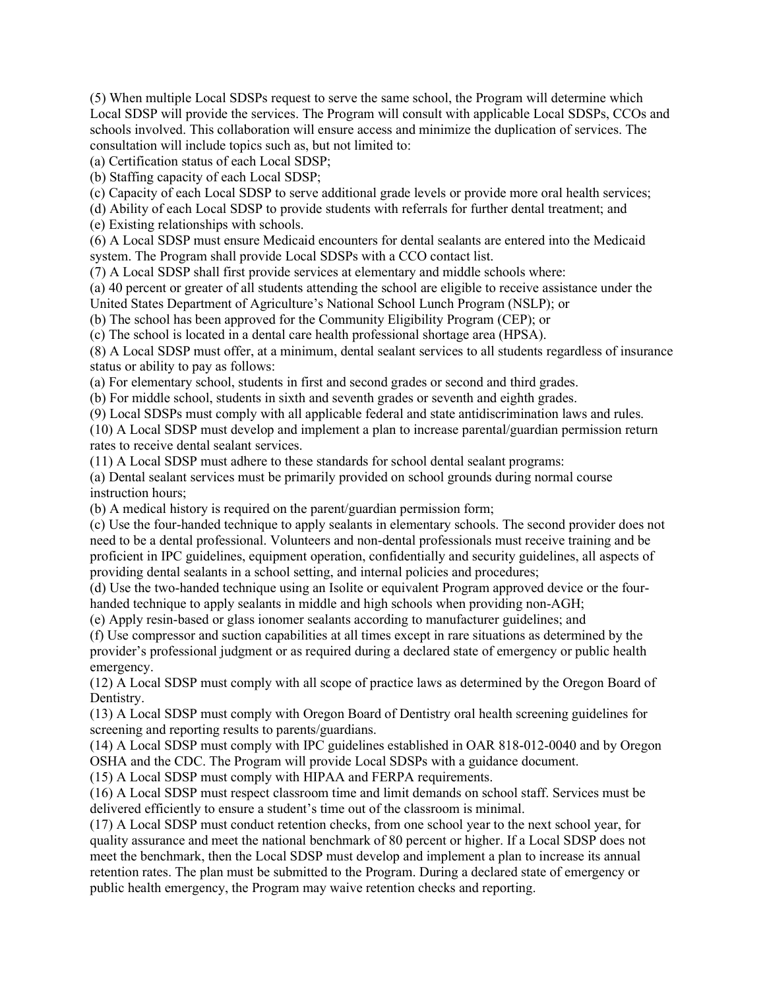(5) When multiple Local SDSPs request to serve the same school, the Program will determine which Local SDSP will provide the services. The Program will consult with applicable Local SDSPs, CCOs and schools involved. This collaboration will ensure access and minimize the duplication of services. The consultation will include topics such as, but not limited to:

(a) Certification status of each Local SDSP;

(b) Staffing capacity of each Local SDSP;

(c) Capacity of each Local SDSP to serve additional grade levels or provide more oral health services;

(d) Ability of each Local SDSP to provide students with referrals for further dental treatment; and

(e) Existing relationships with schools.

(6) A Local SDSP must ensure Medicaid encounters for dental sealants are entered into the Medicaid system. The Program shall provide Local SDSPs with a CCO contact list.

(7) A Local SDSP shall first provide services at elementary and middle schools where:

(a) 40 percent or greater of all students attending the school are eligible to receive assistance under the United States Department of Agriculture's National School Lunch Program (NSLP); or

(b) The school has been approved for the Community Eligibility Program (CEP); or

(c) The school is located in a dental care health professional shortage area (HPSA).

(8) A Local SDSP must offer, at a minimum, dental sealant services to all students regardless of insurance status or ability to pay as follows:

(a) For elementary school, students in first and second grades or second and third grades.

(b) For middle school, students in sixth and seventh grades or seventh and eighth grades.

(9) Local SDSPs must comply with all applicable federal and state antidiscrimination laws and rules.

(10) A Local SDSP must develop and implement a plan to increase parental/guardian permission return rates to receive dental sealant services.

(11) A Local SDSP must adhere to these standards for school dental sealant programs:

(a) Dental sealant services must be primarily provided on school grounds during normal course instruction hours;

(b) A medical history is required on the parent/guardian permission form;

(c) Use the four-handed technique to apply sealants in elementary schools. The second provider does not need to be a dental professional. Volunteers and non-dental professionals must receive training and be proficient in IPC guidelines, equipment operation, confidentially and security guidelines, all aspects of providing dental sealants in a school setting, and internal policies and procedures;

(d) Use the two-handed technique using an Isolite or equivalent Program approved device or the fourhanded technique to apply sealants in middle and high schools when providing non-AGH;

(e) Apply resin-based or glass ionomer sealants according to manufacturer guidelines; and

(f) Use compressor and suction capabilities at all times except in rare situations as determined by the provider's professional judgment or as required during a declared state of emergency or public health emergency.

(12) A Local SDSP must comply with all scope of practice laws as determined by the Oregon Board of Dentistry.

(13) A Local SDSP must comply with Oregon Board of Dentistry oral health screening guidelines for screening and reporting results to parents/guardians.

(14) A Local SDSP must comply with IPC guidelines established in OAR 818-012-0040 and by Oregon OSHA and the CDC. The Program will provide Local SDSPs with a guidance document.

(15) A Local SDSP must comply with HIPAA and FERPA requirements.

(16) A Local SDSP must respect classroom time and limit demands on school staff. Services must be delivered efficiently to ensure a student's time out of the classroom is minimal.

(17) A Local SDSP must conduct retention checks, from one school year to the next school year, for quality assurance and meet the national benchmark of 80 percent or higher. If a Local SDSP does not meet the benchmark, then the Local SDSP must develop and implement a plan to increase its annual retention rates. The plan must be submitted to the Program. During a declared state of emergency or public health emergency, the Program may waive retention checks and reporting.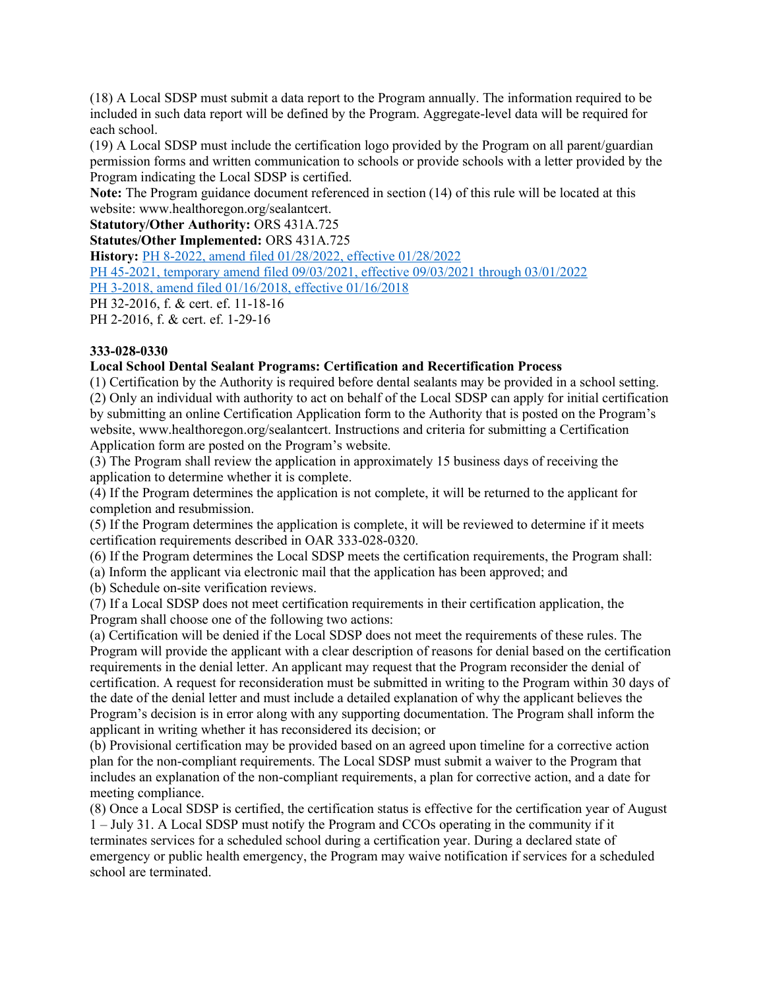(18) A Local SDSP must submit a data report to the Program annually. The information required to be included in such data report will be defined by the Program. Aggregate-level data will be required for each school.

(19) A Local SDSP must include the certification logo provided by the Program on all parent/guardian permission forms and written communication to schools or provide schools with a letter provided by the Program indicating the Local SDSP is certified.

Note: The Program guidance document referenced in section (14) of this rule will be located at this website: www.healthoregon.org/sealantcert.

Statutory/Other Authority: ORS 431A.725

Statutes/Other Implemented: ORS 431A.725

History: PH 8-2022, amend filed 01/28/2022, effective 01/28/2022

PH 45-2021, temporary amend filed 09/03/2021, effective 09/03/2021 through 03/01/2022

PH 3-2018, amend filed 01/16/2018, effective 01/16/2018

PH 32-2016, f. & cert. ef. 11-18-16

PH 2-2016, f. & cert. ef. 1-29-16

## 333-028-0330

### Local School Dental Sealant Programs: Certification and Recertification Process

(1) Certification by the Authority is required before dental sealants may be provided in a school setting. (2) Only an individual with authority to act on behalf of the Local SDSP can apply for initial certification by submitting an online Certification Application form to the Authority that is posted on the Program's website, www.healthoregon.org/sealantcert. Instructions and criteria for submitting a Certification Application form are posted on the Program's website.

(3) The Program shall review the application in approximately 15 business days of receiving the application to determine whether it is complete.

(4) If the Program determines the application is not complete, it will be returned to the applicant for completion and resubmission.

(5) If the Program determines the application is complete, it will be reviewed to determine if it meets certification requirements described in OAR 333-028-0320.

(6) If the Program determines the Local SDSP meets the certification requirements, the Program shall:

(a) Inform the applicant via electronic mail that the application has been approved; and

(b) Schedule on-site verification reviews.

(7) If a Local SDSP does not meet certification requirements in their certification application, the Program shall choose one of the following two actions:

(a) Certification will be denied if the Local SDSP does not meet the requirements of these rules. The Program will provide the applicant with a clear description of reasons for denial based on the certification requirements in the denial letter. An applicant may request that the Program reconsider the denial of certification. A request for reconsideration must be submitted in writing to the Program within 30 days of the date of the denial letter and must include a detailed explanation of why the applicant believes the Program's decision is in error along with any supporting documentation. The Program shall inform the applicant in writing whether it has reconsidered its decision; or

(b) Provisional certification may be provided based on an agreed upon timeline for a corrective action plan for the non-compliant requirements. The Local SDSP must submit a waiver to the Program that includes an explanation of the non-compliant requirements, a plan for corrective action, and a date for meeting compliance.

(8) Once a Local SDSP is certified, the certification status is effective for the certification year of August 1 – July 31. A Local SDSP must notify the Program and CCOs operating in the community if it terminates services for a scheduled school during a certification year. During a declared state of emergency or public health emergency, the Program may waive notification if services for a scheduled school are terminated.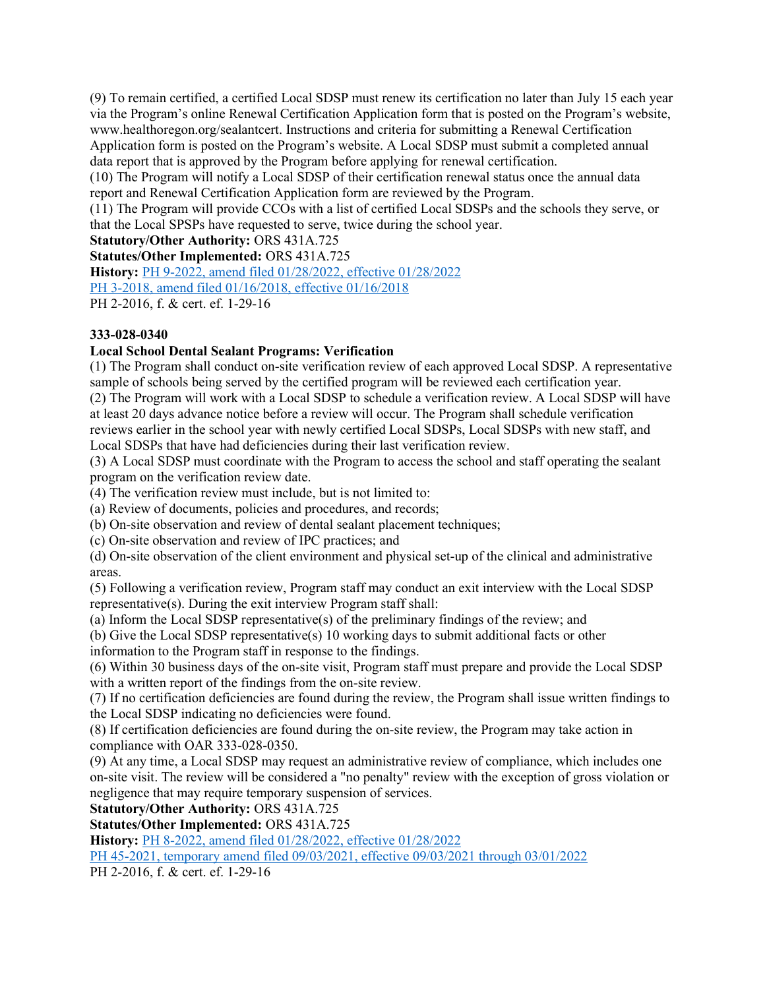(9) To remain certified, a certified Local SDSP must renew its certification no later than July 15 each year via the Program's online Renewal Certification Application form that is posted on the Program's website, www.healthoregon.org/sealantcert. Instructions and criteria for submitting a Renewal Certification Application form is posted on the Program's website. A Local SDSP must submit a completed annual data report that is approved by the Program before applying for renewal certification.

(10) The Program will notify a Local SDSP of their certification renewal status once the annual data report and Renewal Certification Application form are reviewed by the Program.

(11) The Program will provide CCOs with a list of certified Local SDSPs and the schools they serve, or that the Local SPSPs have requested to serve, twice during the school year.

Statutory/Other Authority: ORS 431A.725

Statutes/Other Implemented: ORS 431A.725

History: PH 9-2022, amend filed 01/28/2022, effective 01/28/2022

PH 3-2018, amend filed 01/16/2018, effective 01/16/2018

PH 2-2016, f. & cert. ef. 1-29-16

## 333-028-0340

# Local School Dental Sealant Programs: Verification

(1) The Program shall conduct on-site verification review of each approved Local SDSP. A representative sample of schools being served by the certified program will be reviewed each certification year.

(2) The Program will work with a Local SDSP to schedule a verification review. A Local SDSP will have at least 20 days advance notice before a review will occur. The Program shall schedule verification reviews earlier in the school year with newly certified Local SDSPs, Local SDSPs with new staff, and Local SDSPs that have had deficiencies during their last verification review.

(3) A Local SDSP must coordinate with the Program to access the school and staff operating the sealant program on the verification review date.

(4) The verification review must include, but is not limited to:

(a) Review of documents, policies and procedures, and records;

(b) On-site observation and review of dental sealant placement techniques;

(c) On-site observation and review of IPC practices; and

(d) On-site observation of the client environment and physical set-up of the clinical and administrative areas.

(5) Following a verification review, Program staff may conduct an exit interview with the Local SDSP representative(s). During the exit interview Program staff shall:

(a) Inform the Local SDSP representative(s) of the preliminary findings of the review; and

(b) Give the Local SDSP representative(s) 10 working days to submit additional facts or other information to the Program staff in response to the findings.

(6) Within 30 business days of the on-site visit, Program staff must prepare and provide the Local SDSP with a written report of the findings from the on-site review.

(7) If no certification deficiencies are found during the review, the Program shall issue written findings to the Local SDSP indicating no deficiencies were found.

(8) If certification deficiencies are found during the on-site review, the Program may take action in compliance with OAR 333-028-0350.

(9) At any time, a Local SDSP may request an administrative review of compliance, which includes one on-site visit. The review will be considered a "no penalty" review with the exception of gross violation or negligence that may require temporary suspension of services.

Statutory/Other Authority: ORS 431A.725

Statutes/Other Implemented: ORS 431A.725

History: PH 8-2022, amend filed 01/28/2022, effective 01/28/2022

PH 45-2021, temporary amend filed 09/03/2021, effective 09/03/2021 through 03/01/2022

PH 2-2016, f. & cert. ef. 1-29-16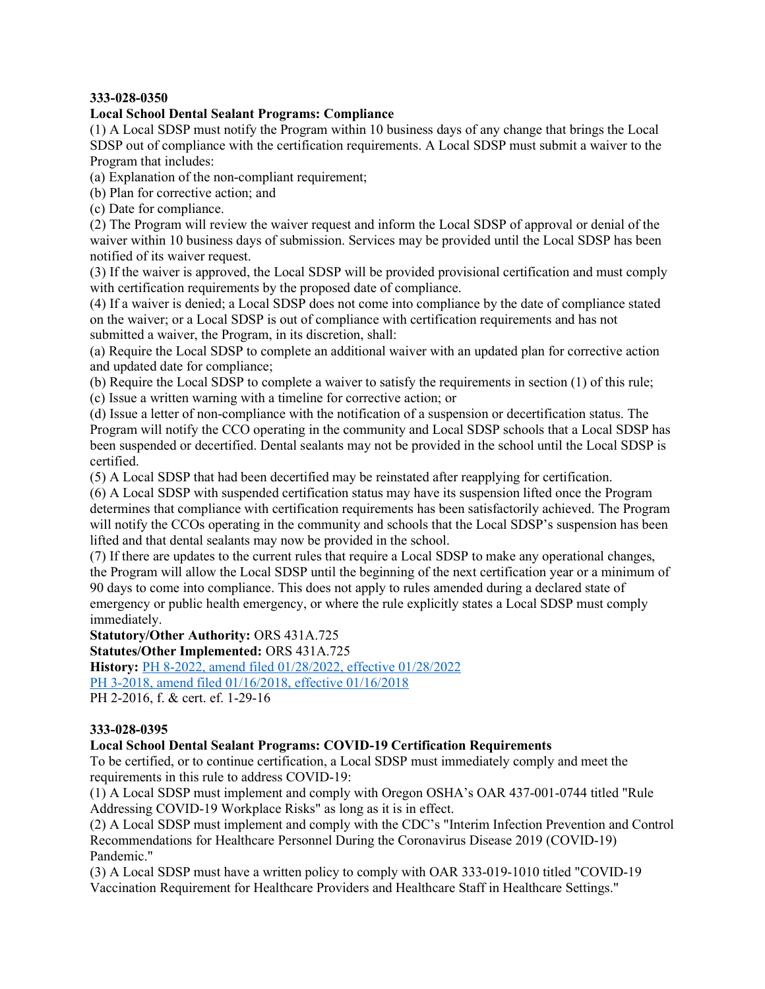### 333-028-0350

## Local School Dental Sealant Programs: Compliance

(1) A Local SDSP must notify the Program within 10 business days of any change that brings the Local SDSP out of compliance with the certification requirements. A Local SDSP must submit a waiver to the Program that includes:

(a) Explanation of the non-compliant requirement;

(b) Plan for corrective action; and

(c) Date for compliance.

(2) The Program will review the waiver request and inform the Local SDSP of approval or denial of the waiver within 10 business days of submission. Services may be provided until the Local SDSP has been notified of its waiver request.

(3) If the waiver is approved, the Local SDSP will be provided provisional certification and must comply with certification requirements by the proposed date of compliance.

(4) If a waiver is denied; a Local SDSP does not come into compliance by the date of compliance stated on the waiver; or a Local SDSP is out of compliance with certification requirements and has not submitted a waiver, the Program, in its discretion, shall:

(a) Require the Local SDSP to complete an additional waiver with an updated plan for corrective action and updated date for compliance;

(b) Require the Local SDSP to complete a waiver to satisfy the requirements in section (1) of this rule; (c) Issue a written warning with a timeline for corrective action; or

(d) Issue a letter of non-compliance with the notification of a suspension or decertification status. The Program will notify the CCO operating in the community and Local SDSP schools that a Local SDSP has been suspended or decertified. Dental sealants may not be provided in the school until the Local SDSP is certified.

(5) A Local SDSP that had been decertified may be reinstated after reapplying for certification.

(6) A Local SDSP with suspended certification status may have its suspension lifted once the Program determines that compliance with certification requirements has been satisfactorily achieved. The Program will notify the CCOs operating in the community and schools that the Local SDSP's suspension has been lifted and that dental sealants may now be provided in the school.

(7) If there are updates to the current rules that require a Local SDSP to make any operational changes, the Program will allow the Local SDSP until the beginning of the next certification year or a minimum of 90 days to come into compliance. This does not apply to rules amended during a declared state of emergency or public health emergency, or where the rule explicitly states a Local SDSP must comply immediately.

Statutory/Other Authority: ORS 431A.725

Statutes/Other Implemented: ORS 431A.725

History: PH 8-2022, amend filed 01/28/2022, effective 01/28/2022 PH 3-2018, amend filed 01/16/2018, effective 01/16/2018

PH 2-2016, f. & cert. ef. 1-29-16

### 333-028-0395

# Local School Dental Sealant Programs: COVID-19 Certification Requirements

To be certified, or to continue certification, a Local SDSP must immediately comply and meet the requirements in this rule to address COVID-19:

(1) A Local SDSP must implement and comply with Oregon OSHA's OAR 437-001-0744 titled "Rule Addressing COVID-19 Workplace Risks" as long as it is in effect.

(2) A Local SDSP must implement and comply with the CDC's "Interim Infection Prevention and Control Recommendations for Healthcare Personnel During the Coronavirus Disease 2019 (COVID-19) Pandemic."

(3) A Local SDSP must have a written policy to comply with OAR 333-019-1010 titled "COVID-19 Vaccination Requirement for Healthcare Providers and Healthcare Staff in Healthcare Settings."